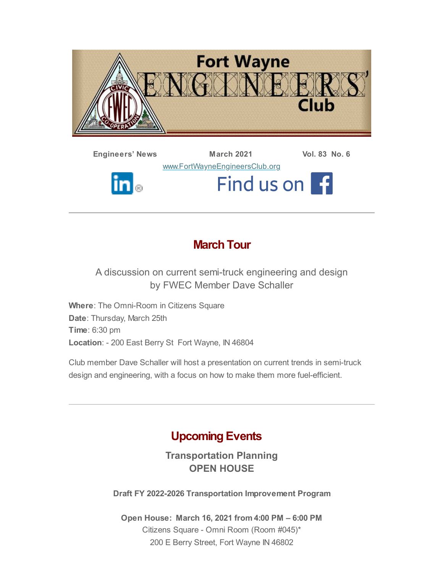

**Engineers' News March 2021 Vol. 83 No. 6** [www.FortWayneEngineersClub.org](http://www.fortwayneengineersclub.org/) Find us on 1  $\ln|_\circ$ 

# **March Tour**

A discussion on current semi-truck engineering and design by FWEC Member Dave Schaller

**Where**: The Omni-Room in Citizens Square **Date**: Thursday, March 25th **Time**: 6:30 pm **Location**: - 200 East Berry St Fort Wayne, IN 46804

Club member Dave Schaller will host a presentation on current trends in semi-truck design and engineering, with a focus on how to make them more fuel-efficient.

# **Upcoming Events**

**Transportation Planning OPEN HOUSE**

**Draft FY 2022-2026 Transportation Improvement Program**

**Open House: March 16, 2021 from 4:00 PM – 6:00 PM** Citizens Square - Omni Room (Room #045)\* 200 E Berry Street, Fort Wayne IN 46802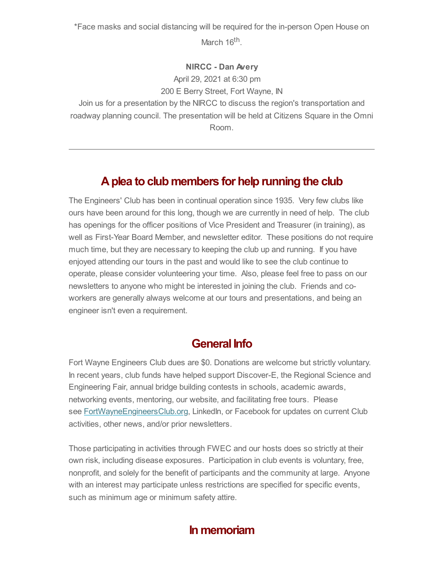\*Face masks and social distancing will be required for the in-person Open House on March 16<sup>th</sup>.

#### **NIRCC - Dan Avery**

April 29, 2021 at 6:30 pm

200 E Berry Street, Fort Wayne, IN

Join us for a presentation by the NIRCC to discuss the region's transportation and roadway planning council. The presentation will be held at Citizens Square in the Omni Room.

# **Aplea to club members for help running the club**

The Engineers' Club has been in continual operation since 1935. Very few clubs like ours have been around for this long, though we are currently in need of help. The club has openings for the officer positions of Vice President and Treasurer (in training), as well as First-Year Board Member, and newsletter editor. These positions do not require much time, but they are necessary to keeping the club up and running. If you have enjoyed attending our tours in the past and would like to see the club continue to operate, please consider volunteering your time. Also, please feel free to pass on our newsletters to anyone who might be interested in joining the club. Friends and coworkers are generally always welcome at our tours and presentations, and being an engineer isn't even a requirement.

### **General Info**

Fort Wayne Engineers Club dues are \$0. Donations are welcome but strictly voluntary. In recent years, club funds have helped support Discover-E, the Regional Science and Engineering Fair, annual bridge building contests in schools, academic awards, networking events, mentoring, our website, and facilitating free tours. Please see **[FortWayneEngineersClub.org](http://fortwayneengineersclub.org/)**, LinkedIn, or Facebook for updates on current Club activities, other news, and/or prior newsletters.

Those participating in activities through FWEC and our hosts does so strictly at their own risk, including disease exposures. Participation in club events is voluntary, free, nonprofit, and solely for the benefit of participants and the community at large. Anyone with an interest may participate unless restrictions are specified for specific events, such as minimum age or minimum safety attire.

# **In memoriam**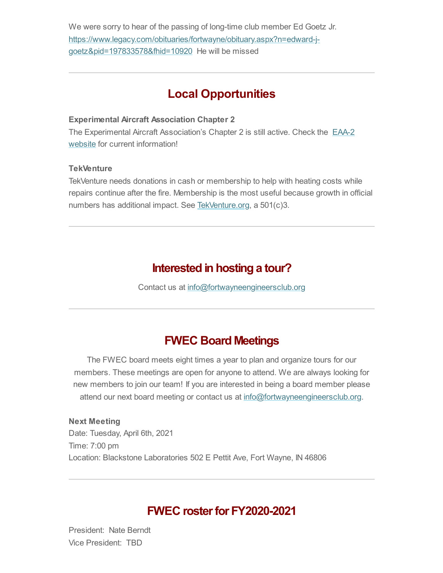We were sorry to hear of the passing of long-time club member Ed Goetz Jr. [https://www.legacy.com/obituaries/fortwayne/obituary.aspx?n=edward-j](https://www.legacy.com/obituaries/fortwayne/obituary.aspx?n=edward-j-goetz&pid=197833578&fhid=10920)goetz&pid=197833578&fhid=10920 He will be missed

## **Local Opportunities**

#### **Experimental Aircraft Association Chapter 2**

The Experimental Aircraft [Association's](https://www.eaa2.org/young_eagles.php) Chapter 2 is still active. Check the EAA-2 website for current information!

#### **TekVenture**

TekVenture needs donations in cash or membership to help with heating costs while repairs continue after the fire. Membership is the most useful because growth in official numbers has additional impact. See [TekVenture.org,](http://www.tekventure.org/) a 501(c)3.

### **Interested in hosting a tour?**

Contact us at [info@fortwayneengineersclub.org](mailto:info@fortwayneengineersclub.org)

### **FWEC Board Meetings**

The FWEC board meets eight times a year to plan and organize tours for our members. These meetings are open for anyone to attend. We are always looking for new members to join our team! If you are interested in being a board member please attend our next board meeting or contact us at [info@fortwayneengineersclub.org.](mailto:info@fortwayneengineersclub.org)

**Next Meeting** Date: Tuesday, April 6th, 2021 Time: 7:00 pm Location: Blackstone Laboratories 502 E Pettit Ave, Fort Wayne, IN 46806

### **FWEC rosterfor FY2020-2021**

President: Nate Berndt Vice President: TBD